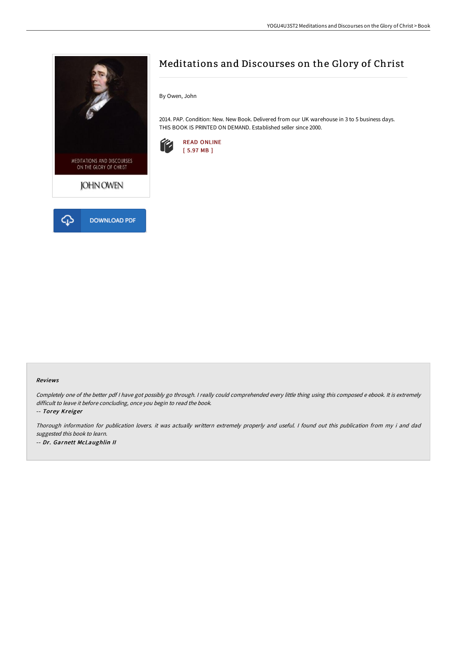



# Meditations and Discourses on the Glory of Christ

By Owen, John

2014. PAP. Condition: New. New Book. Delivered from our UK warehouse in 3 to 5 business days. THIS BOOK IS PRINTED ON DEMAND. Established seller since 2000.



### Reviews

Completely one of the better pdf I have got possibly go through. I really could comprehended every little thing using this composed e ebook. It is extremely difficult to leave it before concluding, once you begin to read the book.

-- Torey Kreiger

Thorough information for publication lovers. it was actually writtern extremely properly and useful. <sup>I</sup> found out this publication from my i and dad suggested this book to learn. -- Dr. Garnett McLaughlin II